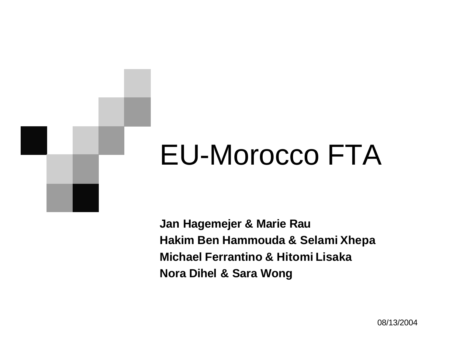# EU-Morocco FTA

**Jan Hagemejer & Marie Rau Hakim Ben Hammouda & Selami Xhepa Michael Ferrantino & Hitomi Lisaka Nora Dihel & Sara Wong**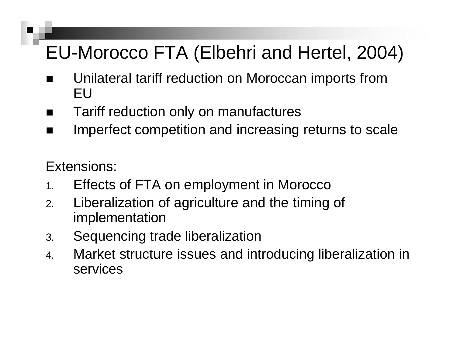### EU-Morocco FTA (Elbehri and Hertel, 2004)

- Unilateral tariff reduction on Moroccan imports from EU
- Tariff reduction only on manufactures
- **n** Imperfect competition and increasing returns to scale

Extensions:

- 1. Effects of FTA on employment in Morocco
- 2. Liberalization of agriculture and the timing of implementation
- 3. Sequencing trade liberalization
- 4. Market structure issues and introducing liberalization in services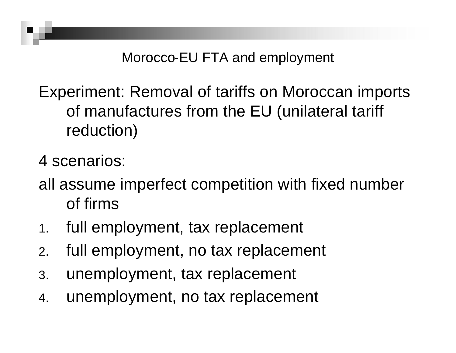Morocco-EU FTA and employment

Experiment: Removal of tariffs on Moroccan imports of manufactures from the EU (unilateral tariff reduction)

4 scenarios:

all assume imperfect competition with fixed number of firms

- 1. full employment, tax replacement
- 2. full employment, no tax replacement
- 3. unemployment, tax replacement
- 4. unemployment, no tax replacement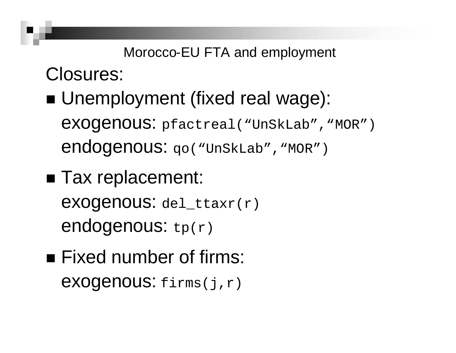Closures:

■ Unemployment (fixed real wage): exogenous: pfactreal("UnSkLab" , "MOR") endogenous: qo("UnSkLab", "MOR")

Morocco-EU FTA and employment

- Tax replacement: exogenous: del\_ttaxr(r) endogenous:  $tp(r)$
- $\blacksquare$  Fixed number of firms: exogenous: firms(j,r)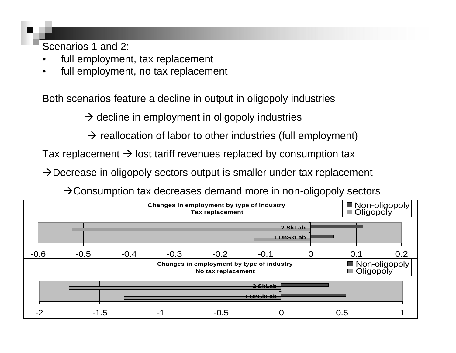Scenarios 1 and 2:

- full employment, tax replacement
- full employment, no tax replacement

Both scenarios feature a decline in output in oligopoly industries

 $\rightarrow$  decline in employment in oligopoly industries

 $\rightarrow$  reallocation of labor to other industries (full employment)

Tax replacement  $\rightarrow$  lost tariff revenues replaced by consumption tax

 $\rightarrow$  Decrease in oligopoly sectors output is smaller under tax replacement

 $\rightarrow$  Consumption tax decreases demand more in non-oligopoly sectors

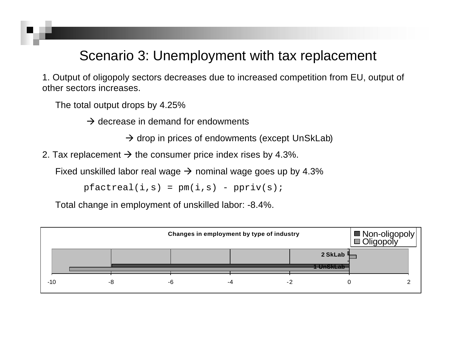#### Scenario 3: Unemployment with tax replacement

1. Output of oligopoly sectors decreases due to increased competition from EU, output of other sectors increases.

The total output drops by 4.25%

 $\rightarrow$  decrease in demand for endowments

 $\rightarrow$  drop in prices of endowments (except UnSkLab)

2. Tax replacement  $\rightarrow$  the consumer price index rises by 4.3%.

Fixed unskilled labor real wage  $\rightarrow$  nominal wage goes up by 4.3%

 $pfactreal(i,s) = pm(i,s) - ppriv(s);$ 

Total change in employment of unskilled labor: -8.4%.

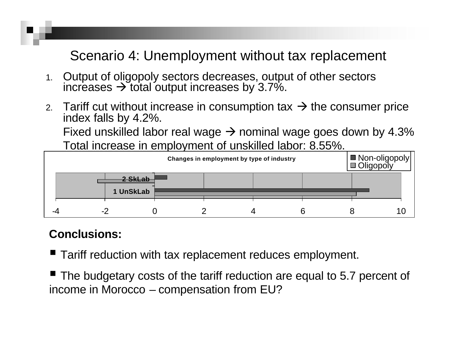#### Scenario 4: Unemployment without tax replacement

- 1. Output of oligopoly sectors decreases, output of other sectors increases  $\rightarrow$  total output increases by 3.7%.
- 2. Tariff cut without increase in consumption tax  $\rightarrow$  the consumer price index falls by 4.2%.

Fixed unskilled labor real wage  $\rightarrow$  nominal wage goes down by 4.3% Total increase in employment of unskilled labor: 8.55%.



#### **Conclusions:**

- Tariff reduction with tax replacement reduces employment.
- $\blacksquare$  The budgetary costs of the tariff reduction are equal to 5.7 percent of income in Morocco – compensation from EU?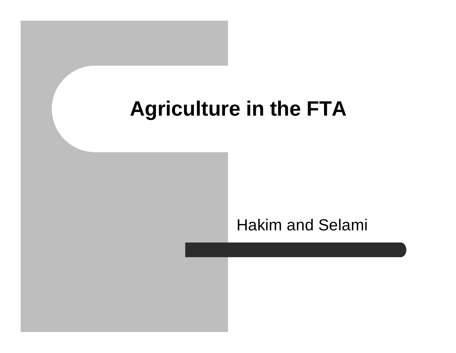### **Agriculture in the FTA**

#### Hakim and Selami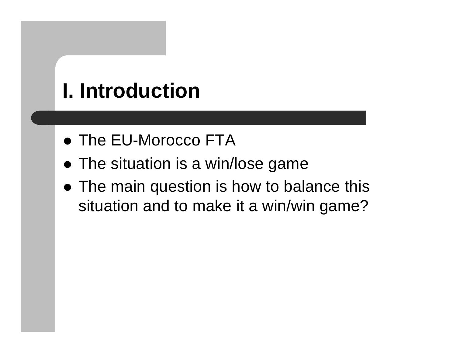# **I. Introduction**

- The EU-Morocco FTA
- $\bullet$  The situation is a win/lose game
- The main question is how to balance this situation and to make it a win/win game?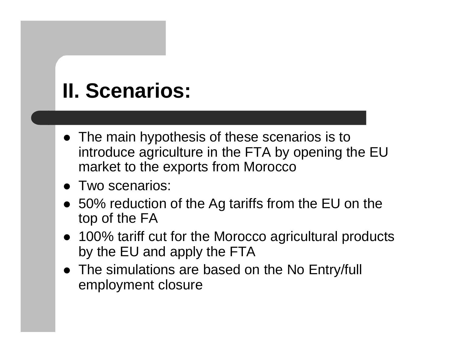# **II. Scenarios:**

- The main hypothesis of these scenarios is to introduce agriculture in the FTA by opening the EU market to the exports from Morocco
- Two scenarios:
- 50% reduction of the Ag tariffs from the EU on the top of the FA
- 100% tariff cut for the Morocco agricultural products by the EU and apply the FTA
- The simulations are based on the No Entry/full employment closure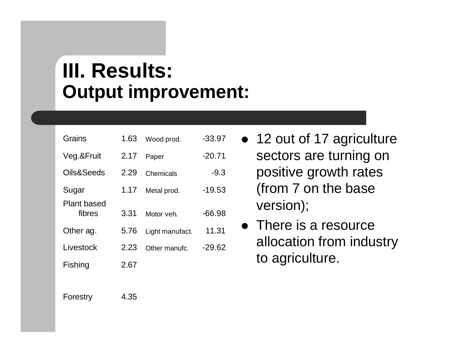### **III. Results: Output improvement:**

| Grains                       | 1.63 | Wood prod.      | $-33.97$ |
|------------------------------|------|-----------------|----------|
| Veg & Fruit                  | 2.17 | Paper           | $-20.71$ |
| Oils&Seeds                   | 2.29 | Chemicals       | $-9.3$   |
| Sugar                        | 1.17 | Metal prod.     | $-19.53$ |
| <b>Plant based</b><br>fibres | 3.31 | Motor veh.      | $-66.98$ |
| Other ag.                    | 5.76 | Light manufact. | 11.31    |
| Livestock                    | 2.23 | Other manufc.   | $-29.62$ |
| Fishing                      | 2.67 |                 |          |

- 12 out of 17 agriculture sectors are turning on positive growth rates (from 7 on the base version);
- $\bullet$  There is a resource allocation from industry to agriculture.

Forestry 4.35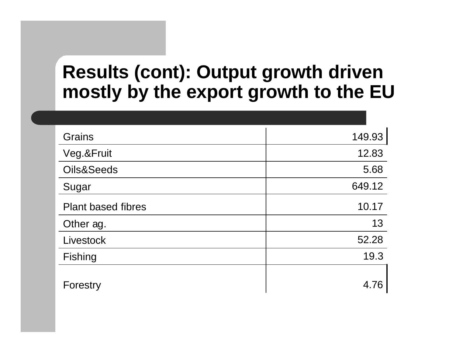#### **Results (cont): Output growth driven mostly by the export growth to the EU**

| Grains                    | 149.93 |
|---------------------------|--------|
| Veg.&Fruit                | 12.83  |
| Oils&Seeds                | 5.68   |
| Sugar                     | 649.12 |
| <b>Plant based fibres</b> | 10.17  |
| Other ag.                 | 13     |
| Livestock                 | 52.28  |
| Fishing                   | 19.3   |
| Forestry                  | 4.76   |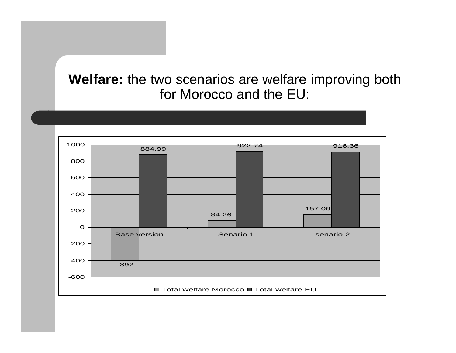#### **Welfare:** the two scenarios are welfare improving both for Morocco and the EU:

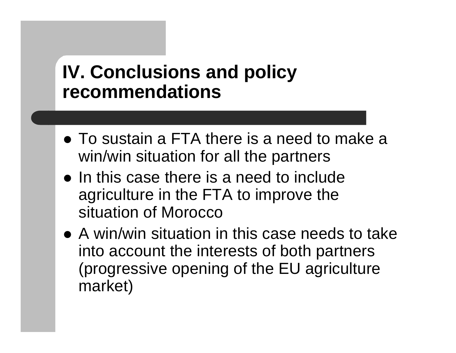#### **IV. Conclusions and policy recommendations**

- To sustain a FTA there is a need to make a win/win situation for all the partners
- In this case there is a need to include agriculture in the FTA to improve the situation of Morocco
- A win/win situation in this case needs to take into account the interests of both partners (progressive opening of the EU agriculture market)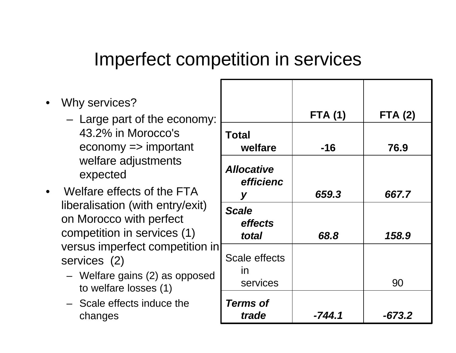### Imperfect competition in services

- Why services?
	- Large part of the economy: 43.2% in Morocco's economy => important welfare adjustments expected
- Welfare effects of the FTA liberalisation (with entry/exit) on Morocco with perfect competition in services (1) versus imperfect competition in services (2)
	- Welfare gains (2) as opposed to welfare losses (1)
	- Scale effects induce the

| y services?<br>Large part of the economy:                                                           |                                          | <b>FTA (1)</b> | <b>FTA (2)</b> |
|-----------------------------------------------------------------------------------------------------|------------------------------------------|----------------|----------------|
| 43.2% in Morocco's<br>$e$ conomy => important                                                       | <b>Total</b><br>welfare                  | $-16$          | 76.9           |
| welfare adjustments<br>expected                                                                     | <b>Allocative</b><br>efficienc           |                |                |
| lfare effects of the FTA!                                                                           | y                                        | 659.3          | 667.7          |
| ralisation (with entry/exit)<br>Morocco with perfect<br>npetition in services (1)                   | <b>Scale</b><br>effects                  |                |                |
| sus imperfect competition in <br>vices (2)<br>Welfare gains (2) as opposed<br>to welfare losses (1) | total<br>Scale effects<br>in<br>services | 68.8           | 158.9<br>90    |
| Scale effects induce the<br>changes                                                                 | <b>Terms of</b><br>trade                 | $-744.1$       | $-673.2$       |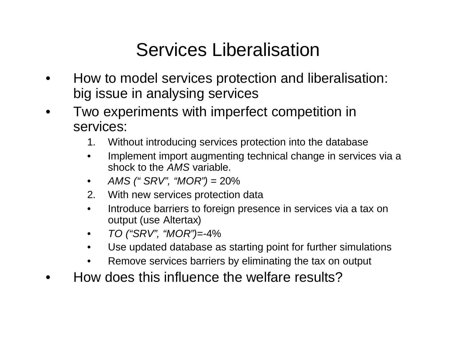### Services Liberalisation

- How to model services protection and liberalisation: big issue in analysing services
- Two experiments with imperfect competition in services:
	- 1. Without introducing services protection into the database
	- Implement import augmenting technical change in services via a shock to the *AMS* variable.
	- *AMS (" SRV" , "MOR")* = 20%
	- 2. With new services protection data
	- Introduce barriers to foreign presence in services via a tax on output (use Altertax)
	- *TO ("SRV" , "MOR")=-*4%
	- Use updated database as starting point for further simulations
	- Remove services barriers by eliminating the tax on output
	- How does this influence the welfare results?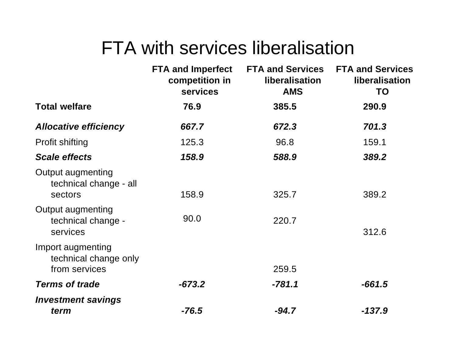#### FTA with services liberalisation

|                                                               | <b>FTA and Imperfect</b><br>competition in<br>services | <b>FTA and Services</b><br>liberalisation<br><b>AMS</b> | <b>FTA and Services</b><br>liberalisation<br><b>TO</b> |
|---------------------------------------------------------------|--------------------------------------------------------|---------------------------------------------------------|--------------------------------------------------------|
| <b>Total welfare</b>                                          | 76.9                                                   | 385.5                                                   | 290.9                                                  |
| <b>Allocative efficiency</b>                                  | 667.7                                                  | 672.3                                                   | 701.3                                                  |
| <b>Profit shifting</b>                                        | 125.3                                                  | 96.8                                                    | 159.1                                                  |
| <b>Scale effects</b>                                          | 158.9                                                  | 588.9                                                   | 389.2                                                  |
| <b>Output augmenting</b><br>technical change - all<br>sectors | 158.9                                                  | 325.7                                                   | 389.2                                                  |
| <b>Output augmenting</b><br>technical change -<br>services    | 90.0                                                   | 220.7                                                   | 312.6                                                  |
| Import augmenting<br>technical change only<br>from services   |                                                        | 259.5                                                   |                                                        |
| <b>Terms of trade</b>                                         | $-673.2$                                               | $-781.1$                                                | $-661.5$                                               |
| <b>Investment savings</b><br>term                             | $-76.5$                                                | $-94.7$                                                 | $-137.9$                                               |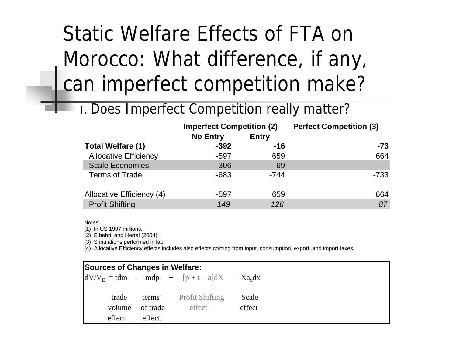# Static Welfare Effects of FTA on Morocco: What difference, if any, can imperfect competition make?

I. Does Imperfect Competition really matter?

|                              | <b>Imperfect Competition (2)</b> |              | <b>Perfect Competition (3)</b> |
|------------------------------|----------------------------------|--------------|--------------------------------|
|                              | <b>No Entry</b>                  | <b>Entry</b> |                                |
| <b>Total Welfare (1)</b>     | $-392$                           | $-16$        | $-73$                          |
| <b>Allocative Efficiency</b> | $-597$                           | 659          | 664                            |
| <b>Scale Economies</b>       | $-306$                           | 69           |                                |
| <b>Terms of Trade</b>        | $-683$                           | $-744$       | $-733$                         |
| Allocative Efficiency (4)    | $-597$                           | 659          | 664                            |
| <b>Profit Shifting</b>       | 149                              | 126          | 87                             |

Notes:

(1) In US 1997 millions.

(2) Elbehri, and Hertel (2004).

(3) Simulations performed in lab.

(4) Allocative Efficiency effects includes also effects coming from input, consumption, export, and import taxes.

|  | <b>Sources of Changes in Welfare:</b> |          |                                                           |        |
|--|---------------------------------------|----------|-----------------------------------------------------------|--------|
|  |                                       |          | $dV/V_F = tdm$ - mdp + [p + t - a]dX - Xa <sub>x</sub> dx |        |
|  | trade                                 | terms    | <b>Profit Shifting</b>                                    | Scale  |
|  | volume                                | of trade | effect                                                    | effect |
|  | effect                                | effect   |                                                           |        |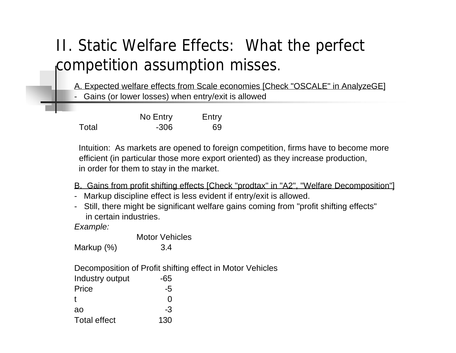#### II. Static Welfare Effects: What the perfect competition assumption misses.

A. Expected welfare effects from Scale economies [Check "OSCALE" in AnalyzeGE]

- Gains (or lower losses) when entry/exit is allowed

|       | No Entry | Entry |
|-------|----------|-------|
| Total | $-306$   | 69    |

 Intuition: As markets are opened to foreign competition, firms have to become more efficient (in particular those more export oriented) as they increase production, in order for them to stay in the market.

- B. Gains from profit shifting effects [Check "prodtax" in "A2", "Welfare Decomposition"]
- Markup discipline effect is less evident if entry/exit is allowed.
- Still, there might be significant welfare gains coming from "profit shifting effects" in certain industries.

*Example:*

|                     | <b>Motor Vehicles</b>                                     |  |
|---------------------|-----------------------------------------------------------|--|
| Markup (%)          | 3.4                                                       |  |
|                     | Decomposition of Profit shifting effect in Motor Vehicles |  |
| Industry output     | -65                                                       |  |
| Price               | -5                                                        |  |
| t                   |                                                           |  |
| ao                  | -3                                                        |  |
| <b>Total effect</b> | 130                                                       |  |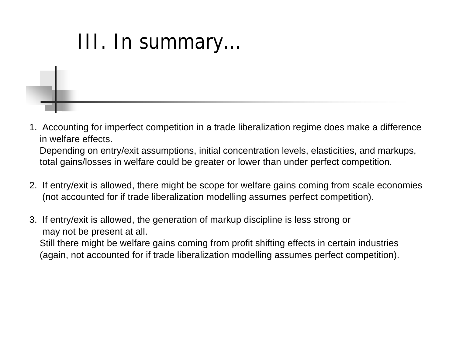# III. In summary…

- 1. Accounting for imperfect competition in a trade liberalization regime does make a difference in welfare effects. Depending on entry/exit assumptions, initial concentration levels, elasticities, and markups, total gains/losses in welfare could be greater or lower than under perfect competition.
- 2. If entry/exit is allowed, there might be scope for welfare gains coming from scale economies (not accounted for if trade liberalization modelling assumes perfect competition).
- 3. If entry/exit is allowed, the generation of markup discipline is less strong or may not be present at all. Still there might be welfare gains coming from profit shifting effects in certain industries (again, not accounted for if trade liberalization modelling assumes perfect competition).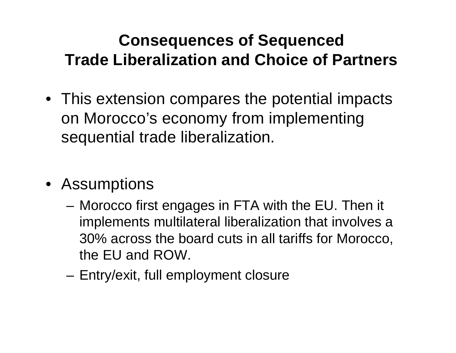#### **Consequences of Sequenced Trade Liberalization and Choice of Partners**

- This extension compares the potential impacts on Morocco's economy from implementing sequential trade liberalization.
- Assumptions
	- Morocco first engages in FTA with the EU. Then it implements multilateral liberalization that involves a 30% across the board cuts in all tariffs for Morocco, the EU and ROW.
	- Entry/exit, full employment closure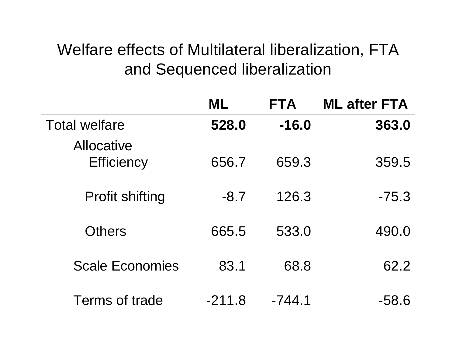#### Welfare effects of Multilateral liberalization, FTA and Sequenced liberalization

|                                        | ML       | <b>FTA</b> | <b>ML after FTA</b> |
|----------------------------------------|----------|------------|---------------------|
| <b>Total welfare</b>                   | 528.0    | $-16.0$    | 363.0               |
| <b>Allocative</b><br><b>Efficiency</b> | 656.7    | 659.3      | 359.5               |
| <b>Profit shifting</b>                 | $-8.7$   | 126.3      | $-75.3$             |
| <b>Others</b>                          | 665.5    | 533.0      | 490.0               |
| <b>Scale Economies</b>                 | 83.1     | 68.8       | 62.2                |
| Terms of trade                         | $-211.8$ | -744.1     | -58.6               |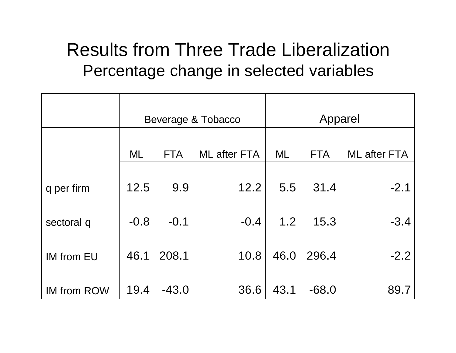#### Results from Three Trade Liberalization Percentage change in selected variables

|                    |        |            | Beverage & Tobacco  |      | Apparel    |                     |
|--------------------|--------|------------|---------------------|------|------------|---------------------|
|                    | ML     | <b>FTA</b> | <b>ML</b> after FTA | ML   | <b>FTA</b> | <b>ML</b> after FTA |
| q per firm         | 12.5   | 9.9        | 12.2                |      | 5.5 31.4   | $-2.1$              |
| sectoral q         | $-0.8$ | $-0.1$     | $-0.4$              | 1.2  | 15.3       | $-3.4$              |
| <b>IM from EU</b>  | 46.1   | 208.1      | 10.8                |      | 46.0 296.4 | $-2.2$              |
| <b>IM from ROW</b> | 19.4   | $-43.0$    | 36.6                | 43.1 | $-68.0$    | 89.7                |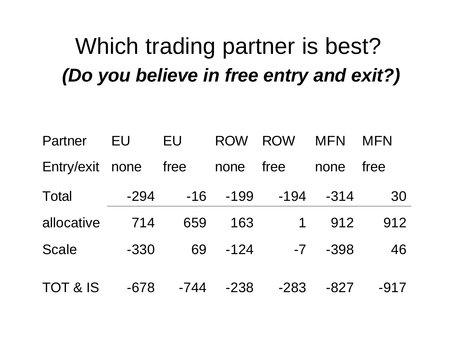# Which trading partner is best? *(Do you believe in free entry and exit?)*

| Partner             | EU     | <b>EU</b> | <b>ROW</b> | <b>ROW</b>  | <b>MFN</b> | <b>MFN</b> |
|---------------------|--------|-----------|------------|-------------|------------|------------|
| Entry/exit none     |        | free      | none       | free        | none       | free       |
| <b>Total</b>        | $-294$ | $-16$     | $-199$     | $-194$      | $-314$     | 30         |
| allocative          | 714    | 659       | 163        | $\mathbf 1$ | 912        | 912        |
| <b>Scale</b>        | $-330$ | 69        | $-124$     | $-7$        | $-398$     | 46         |
| <b>TOT &amp; IS</b> | $-678$ | $-744$    | $-238$     | $-283$      | $-827$     | $-917$     |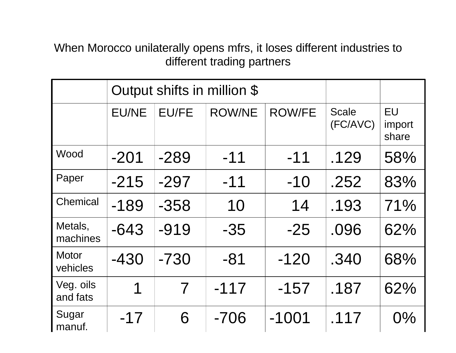When Morocco unilaterally opens mfrs, it loses different industries to different trading partners

|                          |              | Output shifts in million \$ |               |               |                          |                              |
|--------------------------|--------------|-----------------------------|---------------|---------------|--------------------------|------------------------------|
|                          | <b>EU/NE</b> | <b>EU/FE</b>                | <b>ROW/NE</b> | <b>ROW/FE</b> | <b>Scale</b><br>(FC/AVC) | <b>EU</b><br>import<br>share |
| Wood                     | $-201$       | $-289$                      | $-11$         | $-11$         | .129                     | 58%                          |
| Paper                    | $-215$       | $-297$                      | $-11$         | $-10$         | .252                     | 83%                          |
| Chemical                 | $-189$       | $-358$                      | 10            | 14            | .193                     | 71%                          |
| Metals,<br>machines      | $-643$       | $-919$                      | $-35$         | $-25$         | .096                     | 62%                          |
| <b>Motor</b><br>vehicles | $-430$       | $-730$                      | $-81$         | $-120$        | .340                     | 68%                          |
| Veg. oils<br>and fats    | 1            | $\overline{\mathcal{L}}$    | $-117$        | $-157$        | .187                     | 62%                          |
| Sugar<br>manuf.          | $-17$        | 6                           | $-706$        | $-1001$       | .117                     | $0\%$                        |